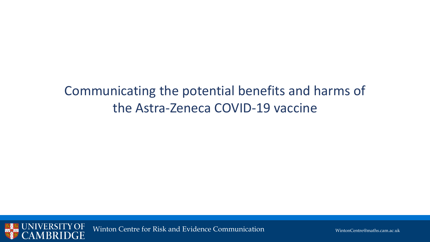# Communicating the potential benefits and harms of the Astra-Zeneca COVID-19 vaccine



Winton Centre for Risk and Evidence Communication Minimum MintonCentre@maths.cam.ac.uk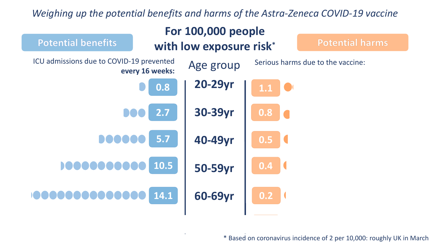#### *Weighing up the potential benefits and harms of the Astra-Zeneca COVID-19 vaccine*



\* Based on coronavirus incidence of 2 per 10,000: roughly UK in March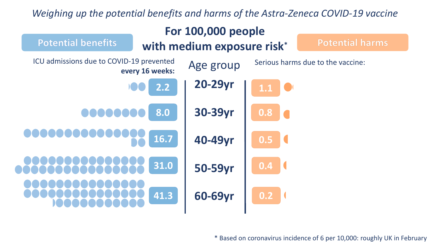## *Weighing up the potential benefits and harms of the Astra-Zeneca COVID-19 vaccine*



\* Based on coronavirus incidence of 6 per 10,000: roughly UK in February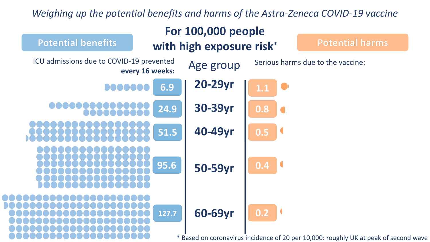## *Weighing up the potential benefits and harms of the Astra-Zeneca COVID-19 vaccine*